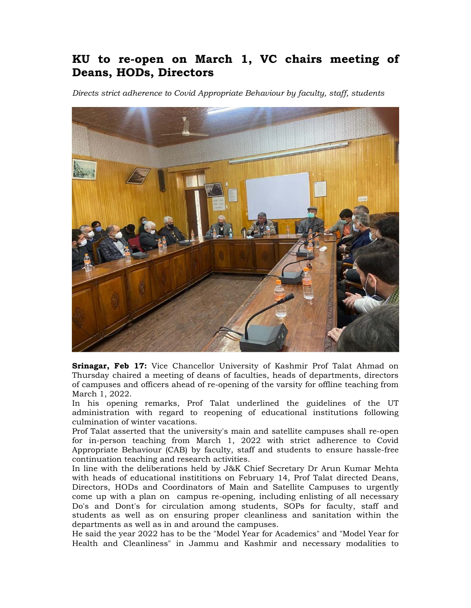## **KU to re-open on March 1, VC chairs meeting of Deans, HODs, Directors**

*Directs strict adherence to Covid Appropriate Behaviour by faculty, staff, students* 



**Srinagar, Feb 17:** Vice Chancellor University of Kashmir Prof Talat Ahmad on Thursday chaired a meeting of deans of faculties, heads of departments, directors of campuses and officers ahead of re-opening of the varsity for offline teaching from March 1, 2022.

In his opening remarks, Prof Talat underlined the guidelines of the UT administration with regard to reopening of educational institutions following culmination of winter vacations.

Prof Talat asserted that the university's main and satellite campuses shall re-open for in-person teaching from March 1, 2022 with strict adherence to Covid Appropriate Behaviour (CAB) by faculty, staff and students to ensure hassle-free continuation teaching and research activities.

In line with the deliberations held by J&K Chief Secretary Dr Arun Kumar Mehta with heads of educational instititions on February 14, Prof Talat directed Deans, Directors, HODs and Coordinators of Main and Satellite Campuses to urgently come up with a plan on campus re-opening, including enlisting of all necessary Do's and Dont's for circulation among students, SOPs for faculty, staff and students as well as on ensuring proper cleanliness and sanitation within the departments as well as in and around the campuses.

He said the year 2022 has to be the "Model Year for Academics" and "Model Year for Health and Cleanliness" in Jammu and Kashmir and necessary modalities to